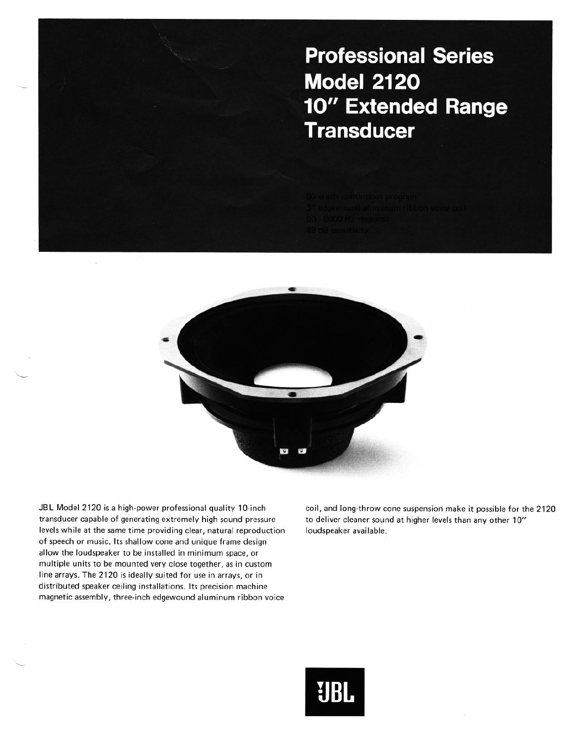## **Professional Series Model 2120 10" Extended Range Transducer**



**JBL Model 2120 is a high-power professional quality IO-inch coil, and long-throw cone suspension make it possible for the 2120 transducer capable of generating extremely high sound pressure to deliver cleaner sound at higher levels than any other IO"**  levels while at the same time providing clear, natural reproduction loudspeaker available. **of speech or music. Its shallow cone and unique frame design allow the loudspeaker to be installed in minimum space, or multiple units to be mounted very close together, as in custom line arrays. The 2120 is ideally suited for use in arrays, or in distributed speaker ceiling installations. Its precision machine magnetic assembly, three-inch edgewound aluminum ribbon voice**